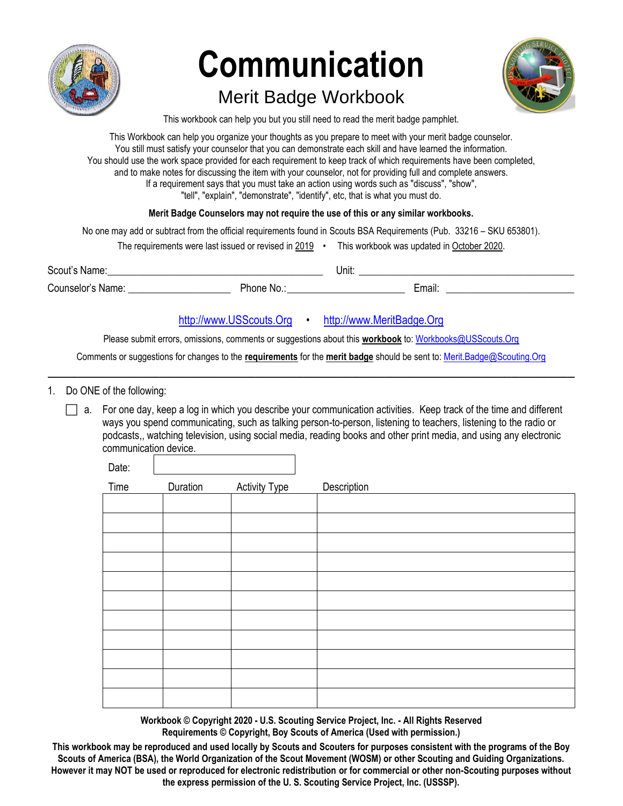

# **Communication**

## Merit Badge Workbook



This workbook can help you but you still need to read the merit badge pamphlet.

This Workbook can help you organize your thoughts as you prepare to meet with your merit badge counselor. You still must satisfy your counselor that you can demonstrate each skill and have learned the information. You should use the work space provided for each requirement to keep track of which requirements have been completed, and to make notes for discussing the item with your counselor, not for providing full and complete answers. If a requirement says that you must take an action using words such as "discuss", "show", "tell", "explain", "demonstrate", "identify", etc, that is what you must do.

#### **Merit Badge Counselors may not require the use of this or any similar workbooks.**

No one may add or subtract from the official requirements found in Scouts BSA Requirements (Pub. 33216 – SKU 653801).

The requirements were last issued or revised in  $2019 \cdot$  This workbook was updated in October 2020.

Scout's Name:\_\_\_\_\_\_\_\_\_\_\_\_\_\_\_\_\_\_\_\_\_\_\_\_\_\_\_\_\_\_\_\_\_\_\_\_\_\_\_\_\_\_ Unit: \_\_\_\_\_\_\_\_\_\_\_\_\_\_\_\_\_\_\_\_\_\_\_\_\_\_\_\_\_\_\_\_\_\_\_\_\_\_\_\_\_\_

Counselor's Name: \_\_\_\_\_\_\_\_\_\_\_\_\_\_\_\_\_\_\_\_ Phone No.:\_\_\_\_\_\_\_\_\_\_\_\_\_\_\_\_\_\_\_\_\_\_\_ Email: \_\_\_\_\_\_\_\_\_\_\_\_\_\_\_\_\_\_\_\_\_\_\_\_\_

[http://www.USScouts.Org](http://www.usscouts.org/) • [http://www.MeritBadge.Org](http://www.meritbadge.org/)

Please submit errors, omissions, comments or suggestions about this **workbook** to[: Workbooks@USScouts.Org](mailto:Workbooks@usscouts.org?subject=Merit%20Badge%20Workbooks)

Comments or suggestions for changes to the **requirements** for the **merit badge** should be sent to[: Merit.Badge@Scouting.Org](mailto:merit.badge@scouting.org) *\_\_\_\_\_\_\_\_\_\_\_\_\_\_\_\_\_\_\_\_\_\_\_\_\_\_\_\_\_\_\_\_\_\_\_\_\_\_\_\_\_\_\_\_\_\_\_\_\_\_\_\_\_\_\_\_\_\_\_\_\_\_\_\_\_\_\_\_\_\_\_\_\_\_\_\_\_\_\_\_\_\_\_\_\_\_\_\_\_\_\_\_\_\_\_\_\_\_\_\_\_\_\_\_\_\_\_\_\_\_\_\_\_\_\_\_\_\_\_\_\_\_\_\_\_\_\_\_\_\_\_\_\_\_\_\_\_\_\_\_\_\_*

1. Do ONE of the following:

 $\Box$  a. For one day, keep a log in which you describe your communication activities. Keep track of the time and different ways you spend communicating, such as talking person-to-person, listening to teachers, listening to the radio or podcasts,, watching television, using social media, reading books and other print media, and using any electronic communication device.  $\Gamma$ 

| Date: |          |                      |             |
|-------|----------|----------------------|-------------|
| Time  | Duration | <b>Activity Type</b> | Description |
|       |          |                      |             |
|       |          |                      |             |
|       |          |                      |             |
|       |          |                      |             |
|       |          |                      |             |
|       |          |                      |             |
|       |          |                      |             |
|       |          |                      |             |
|       |          |                      |             |
|       |          |                      |             |
|       |          |                      |             |

**Workbook © Copyright 2020 - U.S. Scouting Service Project, Inc. - All Rights Reserved Requirements © Copyright, Boy Scouts of America (Used with permission.)**

**This workbook may be reproduced and used locally by Scouts and Scouters for purposes consistent with the programs of the Boy Scouts of America (BSA), the World Organization of the Scout Movement (WOSM) or other Scouting and Guiding Organizations. However it may NOT be used or reproduced for electronic redistribution or for commercial or other non-Scouting purposes without the express permission of the U. S. Scouting Service Project, Inc. (USSSP).**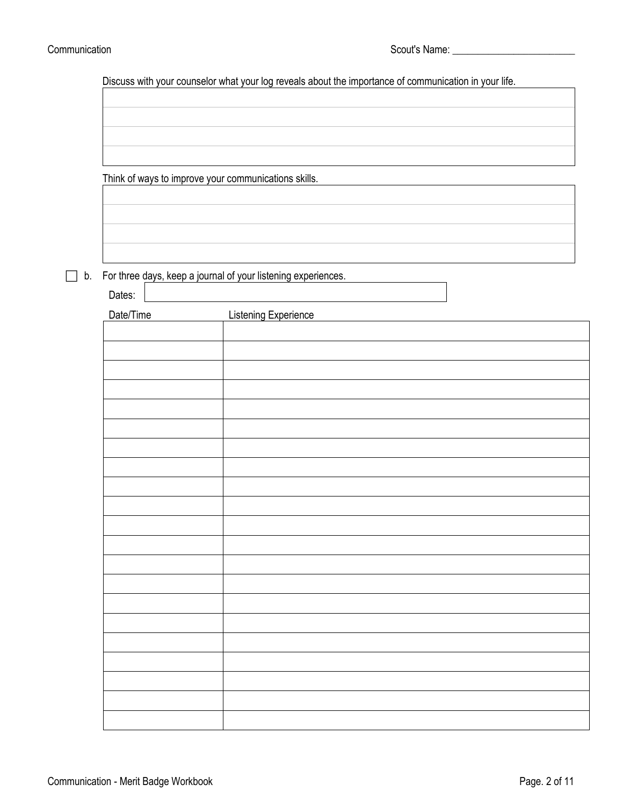٦

Discuss with your counselor what your log reveals about the importance of communication in your life.

Think of ways to improve your communications skills.

 $\Box$  b. For three days, keep a journal of your listening experiences.

| Dates:    |                      |
|-----------|----------------------|
| Date/Time | Listening Experience |
|           |                      |
|           |                      |
|           |                      |
|           |                      |
|           |                      |
|           |                      |
|           |                      |
|           |                      |
|           |                      |
|           |                      |
|           |                      |
|           |                      |
|           |                      |
|           |                      |
|           |                      |
|           |                      |
|           |                      |
|           |                      |
|           |                      |
|           |                      |
|           |                      |
|           |                      |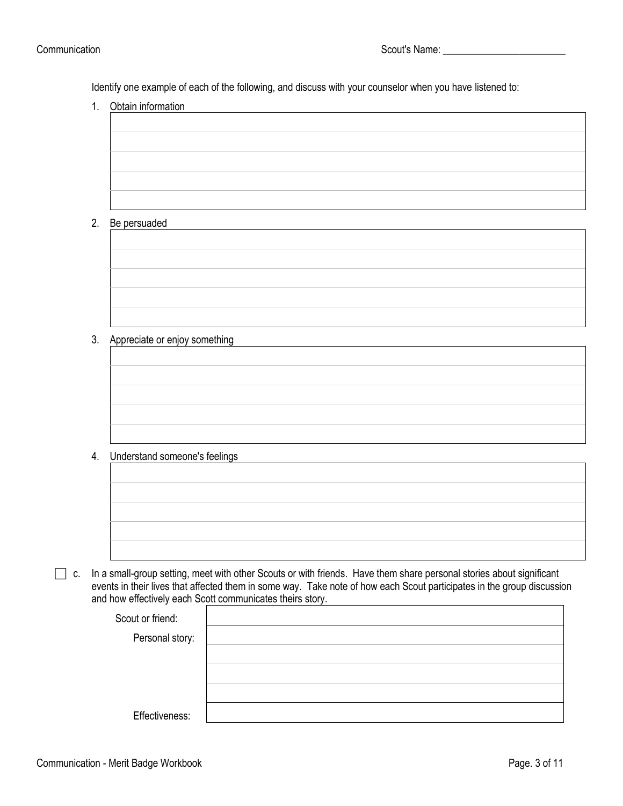Identify one example of each of the following, and discuss with your counselor when you have listened to:

1. Obtain information

| ________________________          |  |  |
|-----------------------------------|--|--|
|                                   |  |  |
|                                   |  |  |
|                                   |  |  |
|                                   |  |  |
|                                   |  |  |
|                                   |  |  |
|                                   |  |  |
|                                   |  |  |
|                                   |  |  |
|                                   |  |  |
|                                   |  |  |
|                                   |  |  |
|                                   |  |  |
|                                   |  |  |
|                                   |  |  |
| $D_n$ $n$ $n$ $n$ $n$ $n$ $n$ $n$ |  |  |
|                                   |  |  |

#### 2. Be persuaded

| 3. | Appreciate or enjoy something |  |
|----|-------------------------------|--|

#### 4. Understand someone's feelings

| shadrotana domodno o rodinigo |  |  |
|-------------------------------|--|--|
|                               |  |  |
|                               |  |  |
|                               |  |  |
|                               |  |  |
|                               |  |  |
|                               |  |  |
|                               |  |  |
|                               |  |  |
|                               |  |  |
|                               |  |  |
|                               |  |  |
|                               |  |  |
|                               |  |  |
|                               |  |  |
|                               |  |  |

 $\Box$  c. In a small-group setting, meet with other Scouts or with friends. Have them share personal stories about significant events in their lives that affected them in some way. Take note of how each Scout participates in the group discussion and how effectively each Scott communicates theirs story.

| Scout or friend: |  |
|------------------|--|
| Personal story:  |  |
|                  |  |
|                  |  |
|                  |  |
| Effectiveness:   |  |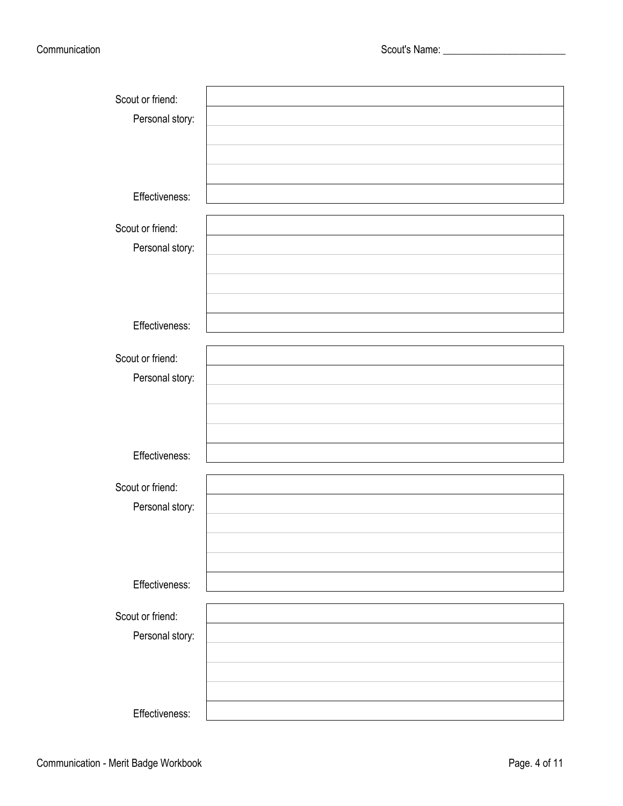| Scout or friend: |  |
|------------------|--|
| Personal story:  |  |
|                  |  |
|                  |  |
|                  |  |
| Effectiveness:   |  |
|                  |  |
| Scout or friend: |  |
| Personal story:  |  |
|                  |  |
|                  |  |
|                  |  |
| Effectiveness:   |  |
|                  |  |
| Scout or friend: |  |
| Personal story:  |  |
|                  |  |
|                  |  |
|                  |  |
| Effectiveness:   |  |
|                  |  |
| Scout or friend: |  |
| Personal story:  |  |
|                  |  |
|                  |  |
|                  |  |
| Effectiveness:   |  |
|                  |  |
| Scout or friend: |  |
| Personal story:  |  |
|                  |  |
|                  |  |
|                  |  |
| Effectiveness:   |  |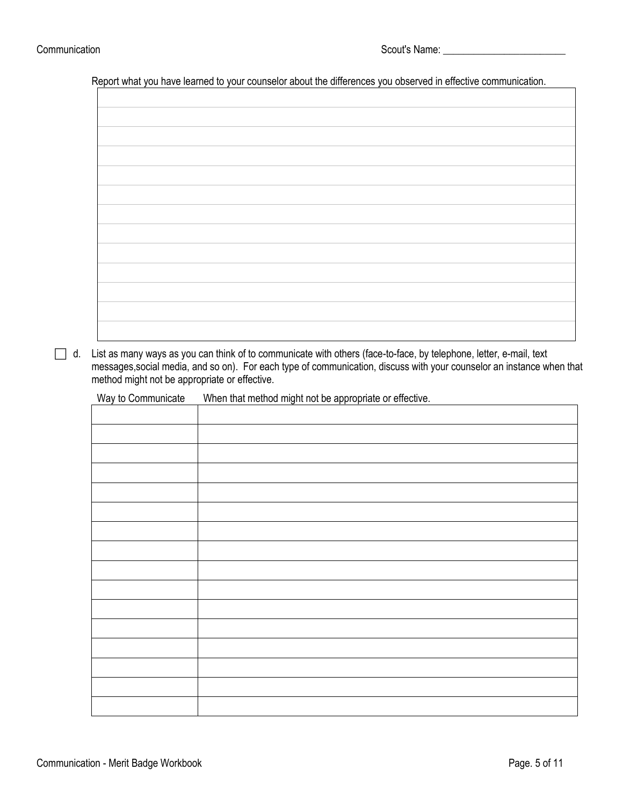Report what you have learned to your counselor about the differences you observed in effective communication.

 $\Box$  d. List as many ways as you can think of to communicate with others (face-to-face, by telephone, letter, e-mail, text messages,social media, and so on). For each type of communication, discuss with your counselor an instance when that method might not be appropriate or effective.

Way to Communicate When that method might not be appropriate or effective.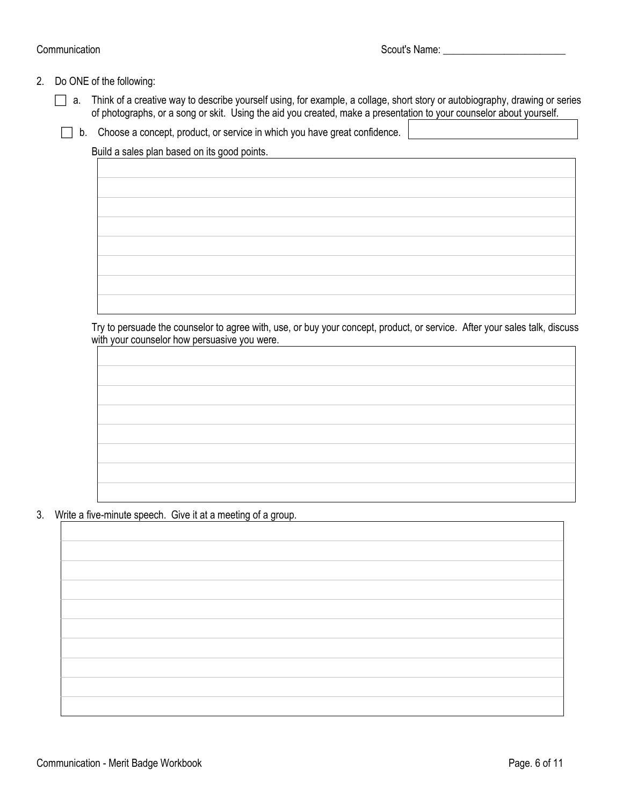#### 2. Do ONE of the following:

- a. Think of a creative way to describe yourself using, for example, a collage, short story or autobiography, drawing or series of photographs, or a song or skit. Using the aid you created, make a presentation to your counselor about yourself.
	- $\Box$  b. Choose a concept, product, or service in which you have great confidence.

Build a sales plan based on its good points.

Try to persuade the counselor to agree with, use, or buy your concept, product, or service. After your sales talk, discuss with your counselor how persuasive you were.

3. Write a five-minute speech. Give it at a meeting of a group.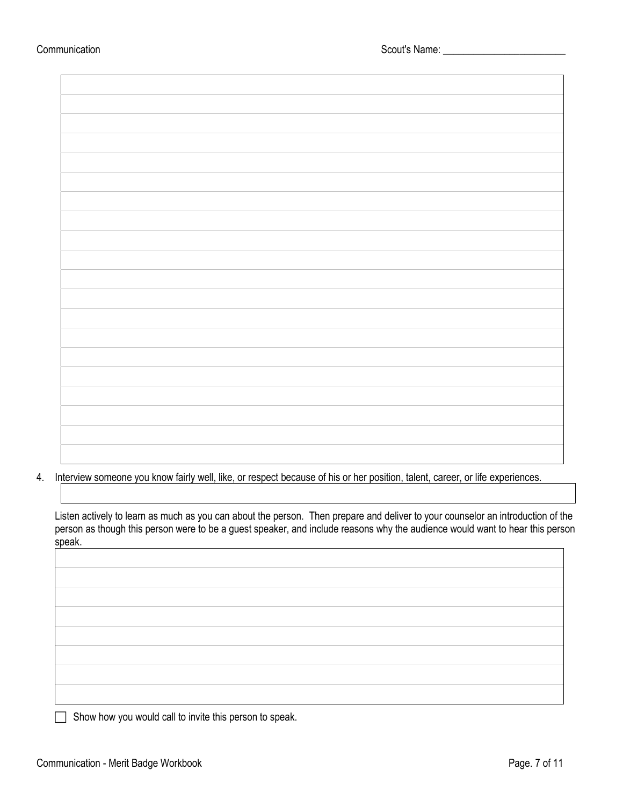$\mathbf{r}$ 

4. Interview someone you know fairly well, like, or respect because of his or her position, talent, career, or life experiences.

Listen actively to learn as much as you can about the person. Then prepare and deliver to your counselor an introduction of the person as though this person were to be a guest speaker, and include reasons why the audience would want to hear this person speak.

 $\Box$  Show how you would call to invite this person to speak.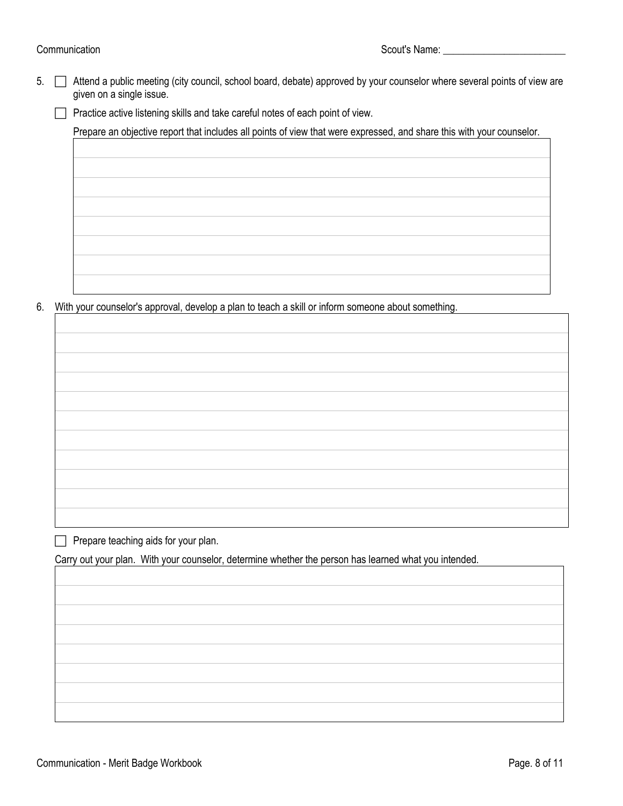Communication Scout's Name:

5. **I** Attend a public meeting (city council, school board, debate) approved by your counselor where several points of view are given on a single issue.

 $\Box$  Practice active listening skills and take careful notes of each point of view.

Prepare an objective report that includes all points of view that were expressed, and share this with your counselor.

6. With your counselor's approval, develop a plan to teach a skill or inform someone about something.

 $\Box$  Prepare teaching aids for your plan.

Carry out your plan. With your counselor, determine whether the person has learned what you intended.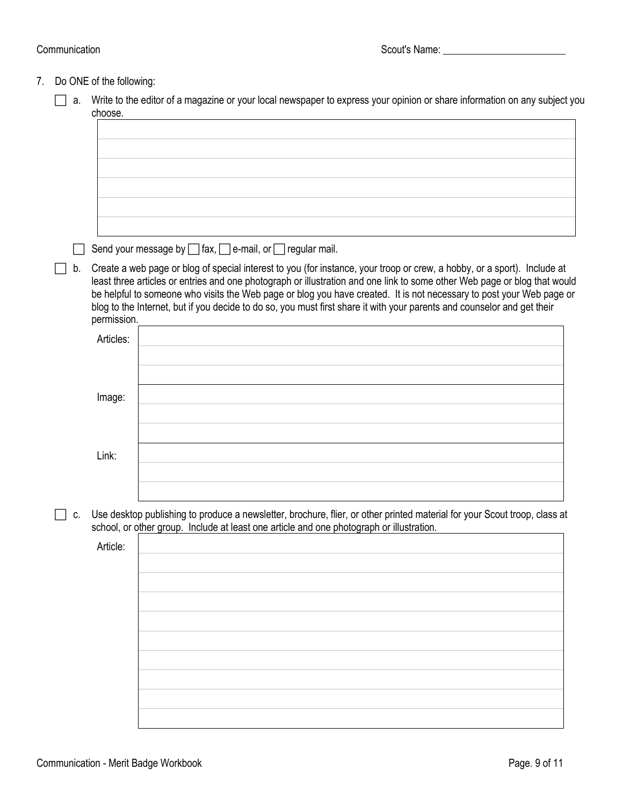#### Communication Scout's Name: Communication Scout's Name:

### 7. Do ONE of the following:

| choose.     |                                                                                                                                                                                                                                                                                                                                                                              |  |
|-------------|------------------------------------------------------------------------------------------------------------------------------------------------------------------------------------------------------------------------------------------------------------------------------------------------------------------------------------------------------------------------------|--|
|             |                                                                                                                                                                                                                                                                                                                                                                              |  |
|             |                                                                                                                                                                                                                                                                                                                                                                              |  |
|             |                                                                                                                                                                                                                                                                                                                                                                              |  |
|             |                                                                                                                                                                                                                                                                                                                                                                              |  |
|             | Send your message by $\Box$ fax, $\Box$ e-mail, or $\Box$ regular mail.                                                                                                                                                                                                                                                                                                      |  |
| b.          | Create a web page or blog of special interest to you (for instance, your troop or crew, a hobby, or a sport). Include at                                                                                                                                                                                                                                                     |  |
| permission. | least three articles or entries and one photograph or illustration and one link to some other Web page or blog that would<br>be helpful to someone who visits the Web page or blog you have created. It is not necessary to post your Web page or<br>blog to the Internet, but if you decide to do so, you must first share it with your parents and counselor and get their |  |
| Articles:   |                                                                                                                                                                                                                                                                                                                                                                              |  |
|             |                                                                                                                                                                                                                                                                                                                                                                              |  |
|             |                                                                                                                                                                                                                                                                                                                                                                              |  |
| Image:      |                                                                                                                                                                                                                                                                                                                                                                              |  |
|             |                                                                                                                                                                                                                                                                                                                                                                              |  |
|             |                                                                                                                                                                                                                                                                                                                                                                              |  |
| Link:       |                                                                                                                                                                                                                                                                                                                                                                              |  |
|             |                                                                                                                                                                                                                                                                                                                                                                              |  |
| C.          | Use desktop publishing to produce a newsletter, brochure, flier, or other printed material for your Scout troop, class at<br>school, or other group. Include at least one article and one photograph or illustration.                                                                                                                                                        |  |
| Article:    |                                                                                                                                                                                                                                                                                                                                                                              |  |
|             |                                                                                                                                                                                                                                                                                                                                                                              |  |
|             |                                                                                                                                                                                                                                                                                                                                                                              |  |
|             |                                                                                                                                                                                                                                                                                                                                                                              |  |
|             |                                                                                                                                                                                                                                                                                                                                                                              |  |
|             |                                                                                                                                                                                                                                                                                                                                                                              |  |
|             |                                                                                                                                                                                                                                                                                                                                                                              |  |
|             |                                                                                                                                                                                                                                                                                                                                                                              |  |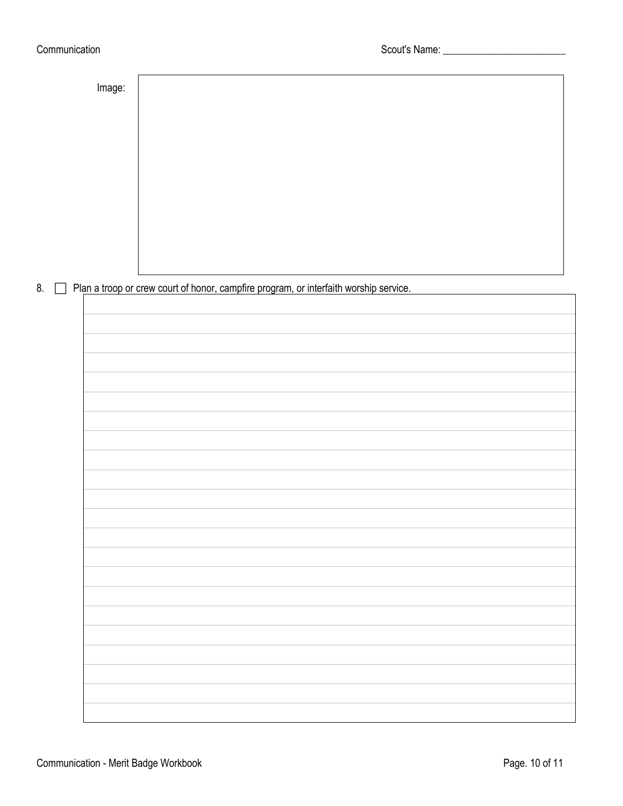#### Communication Communication Communication Scout's Name:

Image:

8. Plan a troop or crew court of honor, campfire program, or interfaith worship service.